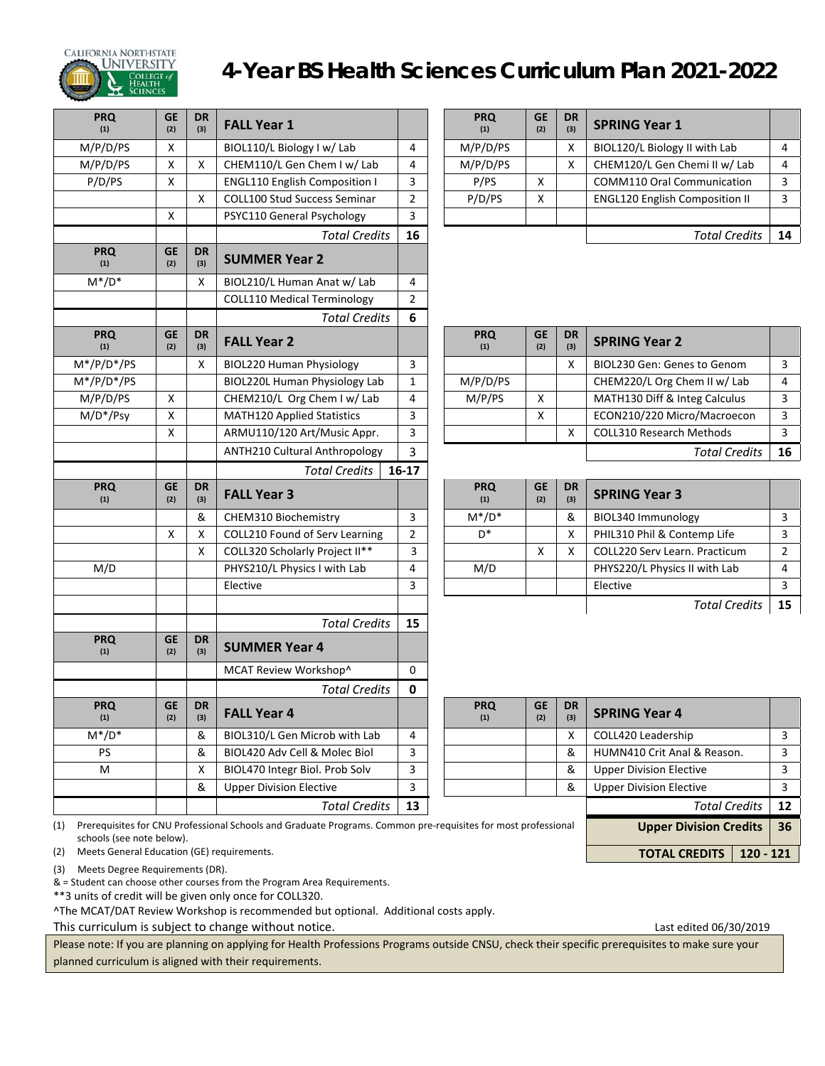

# **CALIFORNIA NORTHSTATE**<br>**A UNIVERSITY** 4-Year BS Health Sciences Curriculum Plan 2021-2022

| <b>PRQ</b><br>(1) | <b>GE</b><br>(2) | <b>DR</b><br>(3) | <b>FALL Year 1</b>                   |                | <b>PRQ</b><br>(1) | <b>GE</b><br>(2) | <b>DR</b><br>(3) | <b>SPRING Year 1</b>                  |                |
|-------------------|------------------|------------------|--------------------------------------|----------------|-------------------|------------------|------------------|---------------------------------------|----------------|
| M/P/D/PS          | X                |                  | BIOL110/L Biology I w/ Lab           | 4              | M/P/D/PS          |                  | X                | BIOL120/L Biology II with Lab         | $\overline{4}$ |
| M/P/D/PS          | Χ                | X                | CHEM110/L Gen Chem I w/ Lab          | $\overline{4}$ | M/P/D/PS          |                  | X                | CHEM120/L Gen Chemi II w/ Lab         | $\overline{4}$ |
| P/D/PS            | X                |                  | <b>ENGL110 English Composition I</b> | 3              | P/PS              | X                |                  | COMM110 Oral Communication            | 3              |
|                   |                  | X                | <b>COLL100 Stud Success Seminar</b>  | $\overline{2}$ | P/D/PS            | X                |                  | <b>ENGL120 English Composition II</b> | 3              |
|                   | X                |                  | PSYC110 General Psychology           | 3              |                   |                  |                  |                                       |                |
|                   |                  |                  | <b>Total Credits</b>                 | 16             |                   |                  |                  | <b>Total Credits</b>                  | 14             |
| <b>PRQ</b><br>(1) | <b>GE</b><br>(2) | <b>DR</b><br>(3) | <b>SUMMER Year 2</b>                 |                |                   |                  |                  |                                       |                |
| $M^*/D^*$         |                  | X                | BIOL210/L Human Anat w/ Lab          | 4              |                   |                  |                  |                                       |                |
|                   |                  |                  | <b>COLL110 Medical Terminology</b>   | $\overline{2}$ |                   |                  |                  |                                       |                |
|                   |                  |                  | <b>Total Credits</b>                 | 6              |                   |                  |                  |                                       |                |
| <b>PRQ</b><br>(1) | <b>GE</b><br>(2) | <b>DR</b><br>(3) | <b>FALL Year 2</b>                   |                | <b>PRQ</b><br>(1) | <b>GE</b><br>(2) | <b>DR</b><br>(3) | <b>SPRING Year 2</b>                  |                |
| $M*/P/D*/PS$      |                  | X                | <b>BIOL220 Human Physiology</b>      | 3              |                   |                  | X                | BIOL230 Gen: Genes to Genom           | $\overline{3}$ |
| $M*/P/D*/PS$      |                  |                  | <b>BIOL220L Human Physiology Lab</b> | $\mathbf 1$    | M/P/D/PS          |                  |                  | CHEM220/L Org Chem II w/ Lab          | 4              |
| M/P/D/PS          | X                |                  | CHEM210/L Org Chem I w/ Lab          | $\overline{4}$ | M/P/PS            | X                |                  | MATH130 Diff & Integ Calculus         | 3              |
| $M/D*/Psy$        | $\mathsf{X}$     |                  | <b>MATH120 Applied Statistics</b>    | 3              |                   | X                |                  | ECON210/220 Micro/Macroecon           | $\overline{3}$ |
|                   | X                |                  | ARMU110/120 Art/Music Appr.          | 3              |                   |                  | X                | <b>COLL310 Research Methods</b>       | $\overline{3}$ |
|                   |                  |                  | <b>ANTH210 Cultural Anthropology</b> | 3              |                   |                  |                  | <b>Total Credits</b>                  | 16             |
|                   |                  |                  | <b>Total Credits</b>                 | $16-17$        |                   |                  |                  |                                       |                |
| <b>PRQ</b><br>(1) | <b>GE</b><br>(2) | <b>DR</b><br>(3) | <b>FALL Year 3</b>                   |                | <b>PRQ</b><br>(1) | <b>GE</b><br>(2) | <b>DR</b><br>(3) | <b>SPRING Year 3</b>                  |                |
|                   |                  | &                | CHEM310 Biochemistry                 | 3              | $M^*/D^*$         |                  | &                | BIOL340 Immunology                    | $\overline{3}$ |
|                   | X                | X                | COLL210 Found of Serv Learning       | $\overline{2}$ | n*                |                  | Χ                | PHIL310 Phil & Contemp Life           | $\overline{3}$ |
|                   |                  | X                | COLL320 Scholarly Project II**       | 3              |                   | X                | X                | COLL220 Serv Learn. Practicum         | $\overline{2}$ |
| M/D               |                  |                  | PHYS210/L Physics I with Lab         | 4              | M/D               |                  |                  | PHYS220/L Physics II with Lab         | 4              |
|                   |                  |                  | Elective                             | 3              |                   |                  |                  | Elective                              | $\overline{3}$ |
|                   |                  |                  |                                      |                |                   |                  |                  | <b>Total Credits</b>                  | 15             |
|                   |                  |                  | <b>Total Credits</b>                 | 15             |                   |                  |                  |                                       |                |
| <b>PRQ</b><br>(1) | <b>GE</b><br>(2) | <b>DR</b><br>(3) | <b>SUMMER Year 4</b>                 |                |                   |                  |                  |                                       |                |
|                   |                  |                  | MCAT Review Workshop^                | 0              |                   |                  |                  |                                       |                |
|                   |                  |                  | <b>Total Credits</b>                 | 0              |                   |                  |                  |                                       |                |
| <b>PRQ</b><br>(1) | <b>GE</b><br>(2) | <b>DR</b><br>(3) | <b>FALL Year 4</b>                   |                | <b>PRQ</b><br>(1) | <b>GE</b><br>(2) | <b>DR</b><br>(3) | <b>SPRING Year 4</b>                  |                |
| $M^*/D^*$         |                  | &                | BIOL310/L Gen Microb with Lab        | 4              |                   |                  | Χ                | COLL420 Leadership                    | 3              |
| PS                |                  | &                | BIOL420 Adv Cell & Molec Biol        | 3              |                   |                  | &                | HUMN410 Crit Anal & Reason.           | 3              |
| M                 |                  | X                | BIOL470 Integr Biol. Prob Solv       | 3              |                   |                  | &                | <b>Upper Division Elective</b>        | 3              |
|                   |                  | &                | <b>Upper Division Elective</b>       | 3              |                   |                  | &                | <b>Upper Division Elective</b>        | 3              |
|                   |                  |                  | <b>Total Credits</b>                 | 13             |                   |                  |                  | <b>Total Credits</b>                  | 12             |

| <b>PRQ</b><br>(1) | <b>GE</b><br>(2) | <b>DR</b><br>(3) | <b>FALL Year 1</b>                   |    | <b>PRQ</b><br>(1) | <b>GE</b><br>(2) | <b>DR</b><br>(3) | <b>SPRING Year 1</b>                  |    |
|-------------------|------------------|------------------|--------------------------------------|----|-------------------|------------------|------------------|---------------------------------------|----|
| 1/P/D/PS          | х                |                  | BIOL110/L Biology I w/ Lab           | 4  | M/P/D/PS          |                  |                  | BIOL120/L Biology II with Lab         |    |
| l/P/D/PS          | Χ                |                  | CHEM110/L Gen Chem I w/ Lab          | 4  | M/P/D/PS          |                  |                  | CHEM120/L Gen Chemi II w/ Lab         |    |
| P/D/PS            | х                |                  | <b>ENGL110 English Composition I</b> | 3  | P/PS              | x                |                  | <b>COMM110 Oral Communication</b>     |    |
|                   |                  |                  | COLL100 Stud Success Seminar         | n. | P/D/PS            | X                |                  | <b>ENGL120 English Composition II</b> |    |
|                   | Χ                |                  | PSYC110 General Psychology           | 3  |                   |                  |                  |                                       |    |
|                   |                  |                  | <b>Total Credits</b>                 | 16 |                   |                  |                  | <b>Total Credits</b>                  | 14 |

| ١Q     | <b>GE</b><br>(2) | <b>DR</b><br>(3) | <b>FALL Year 2</b>                |   | <b>PRQ</b><br>(1) | <b>GE</b><br>(2) | <b>DR</b><br>(3) | <b>SPRING Year 2</b>          |    |
|--------|------------------|------------------|-----------------------------------|---|-------------------|------------------|------------------|-------------------------------|----|
| 'D*/PS |                  | x                | <b>BIOL220 Human Physiology</b>   |   |                   |                  | Χ                | BIOL230 Gen: Genes to Genom   |    |
| 'D*/PS |                  |                  | BIOL220L Human Physiology Lab     |   | M/P/D/PS          |                  |                  | CHEM220/L Org Chem II w/ Lab  |    |
| D/PS   | x                |                  | CHEM210/L Org Chem I w/ Lab       | 4 | M/P/PS            |                  |                  | MATH130 Diff & Integ Calculus |    |
| */Psy  | x                |                  | <b>MATH120 Applied Statistics</b> |   |                   | ∧                |                  | ECON210/220 Micro/Macroecon   |    |
|        | $\mathbf v$<br>⌒ |                  | ARMU110/120 Art/Music Appr.       |   |                   |                  | Χ                | COLL310 Research Methods      |    |
|        |                  |                  | ANTH210 Cultural Anthropology     |   |                   |                  |                  | <b>Total Credits</b>          | 16 |

| <b>PRQ</b><br>(1) | <b>GE</b><br>(2) | <b>DR</b><br>(3) | <b>FALL Year 3</b>             |  | <b>PRQ</b><br>(1) | <b>GE</b><br>(2) | <b>DR</b><br>(3) | <b>SPRING Year 3</b>          |  |
|-------------------|------------------|------------------|--------------------------------|--|-------------------|------------------|------------------|-------------------------------|--|
|                   |                  | &                | CHEM310 Biochemistry           |  | $M^*/D^*$         |                  | &                | BIOL340 Immunology            |  |
|                   |                  |                  | COLL210 Found of Serv Learning |  | D*                |                  | X                | PHIL310 Phil & Contemp Life   |  |
|                   |                  | x                | COLL320 Scholarly Project II** |  |                   |                  | X                | COLL220 Serv Learn. Practicum |  |
| M/D               |                  |                  | PHYS210/L Physics I with Lab   |  | M/D               |                  |                  | PHYS220/L Physics II with Lab |  |
|                   |                  |                  | Elective                       |  |                   |                  |                  | Elective                      |  |
|                   |                  |                  |                                |  |                   |                  |                  |                               |  |

|     | <b>PRQ</b><br>(1)                                                                                                                          | <b>GE</b><br>(2) | <b>DR</b><br>(3) | <b>FALL Year 4</b>             |   |  | <b>PRQ</b><br>(1) | <b>GE</b><br>(2)              | <b>DR</b><br>(3)                    | <b>SPRING Year 4</b>           |  |
|-----|--------------------------------------------------------------------------------------------------------------------------------------------|------------------|------------------|--------------------------------|---|--|-------------------|-------------------------------|-------------------------------------|--------------------------------|--|
|     | $M^*/D^*$                                                                                                                                  |                  | &                | BIOL310/L Gen Microb with Lab  | 4 |  |                   |                               | x                                   | COLL420 Leadership             |  |
|     | PS                                                                                                                                         |                  | &                | BIOL420 Adv Cell & Molec Biol  | 3 |  |                   |                               | &                                   | HUMN410 Crit Anal & Reason.    |  |
|     | M                                                                                                                                          |                  |                  | BIOL470 Integr Biol. Prob Solv | 3 |  |                   |                               | &                                   | <b>Upper Division Elective</b> |  |
|     |                                                                                                                                            |                  | &                | <b>Upper Division Elective</b> | 3 |  |                   |                               | &                                   | <b>Upper Division Elective</b> |  |
|     | 13<br><b>Total Credits</b>                                                                                                                 |                  |                  |                                |   |  |                   | Total Credits                 | 12                                  |                                |  |
| (1) | Prerequisites for CNU Professional Schools and Graduate Programs. Common pre-requisites for most professional<br>schools (see note below). |                  |                  |                                |   |  |                   | <b>Upper Division Credits</b> | 36                                  |                                |  |
| (2) | Meets General Education (GE) requirements.                                                                                                 |                  |                  |                                |   |  |                   |                               | $120 - 121$<br><b>TOTAL CREDITS</b> |                                |  |

(3) Meets Degree Requirements (DR).

& = Student can choose other courses from the Program Area Requirements.

\*\*3 units of credit will be given only once for COLL320.

^The MCAT/DAT Review Workshop is recommended but optional. Additional costs apply.

This curriculum is subject to change without notice.<br>
This curriculum is subject to change without notice.

Please note: If you are planning on applying for Health Professions Programs outside CNSU, check their specific prerequisites to make sure your planned curriculum is aligned with their requirements.